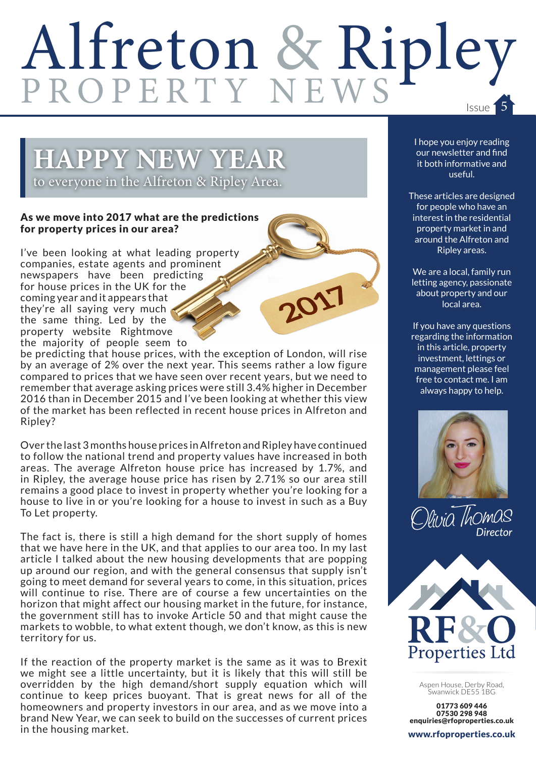# Alfreton & Ripley

2017

## **HAPPY NEW YEAR**

to everyone in the Alfreton & Ripley Area.

#### As we move into 2017 what are the predictions for property prices in our area?

I've been looking at what leading property companies, estate agents and prominent newspapers have been predicting for house prices in the UK for the coming year and it appears that they're all saying very much the same thing. Led by the property website Rightmove the majority of people seem to

be predicting that house prices, with the exception of London, will rise by an average of 2% over the next year. This seems rather a low figure compared to prices that we have seen over recent years, but we need to remember that average asking prices were still 3.4% higher in December 2016 than in December 2015 and I've been looking at whether this view of the market has been reflected in recent house prices in Alfreton and Ripley?

Over the last 3 months house prices in Alfreton and Ripley have continued to follow the national trend and property values have increased in both areas. The average Alfreton house price has increased by 1.7%, and in Ripley, the average house price has risen by 2.71% so our area still remains a good place to invest in property whether you're looking for a house to live in or you're looking for a house to invest in such as a Buy To Let property.

The fact is, there is still a high demand for the short supply of homes that we have here in the UK, and that applies to our area too. In my last article I talked about the new housing developments that are popping up around our region, and with the general consensus that supply isn't going to meet demand for several years to come, in this situation, prices will continue to rise. There are of course a few uncertainties on the horizon that might affect our housing market in the future, for instance, the government still has to invoke Article 50 and that might cause the markets to wobble, to what extent though, we don't know, as this is new territory for us.

If the reaction of the property market is the same as it was to Brexit we might see a little uncertainty, but it is likely that this will still be overridden by the high demand/short supply equation which will continue to keep prices buoyant. That is great news for all of the homeowners and property investors in our area, and as we move into a brand New Year, we can seek to build on the successes of current prices in the housing market.

I hope you enjoy reading our newsletter and find it both informative and useful.

These articles are designed for people who have an interest in the residential property market in and around the Alfreton and Ripley areas.

We are a local, family run letting agency, passionate about property and our local area.

If you have any questions regarding the information in this article, property investment, lettings or management please feel free to contact me. I am always happy to help.







Aspen House, Derby Road, Swanwick DE55 1BG

01773 609 446 07530 298 948 enquiries@rfoproperties.co.uk

www.rfoproperties.co.uk